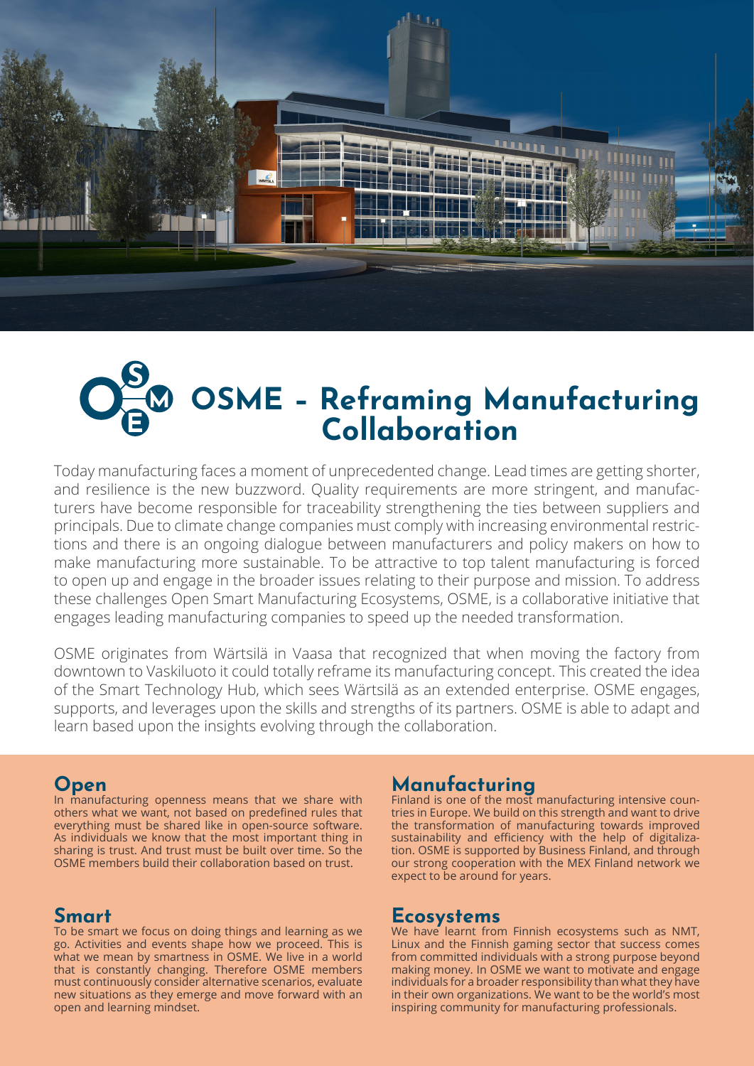

# **OSME – Reframing Manufacturing Collaboration**

Today manufacturing faces a moment of unprecedented change. Lead times are getting shorter, and resilience is the new buzzword. Quality requirements are more stringent, and manufacturers have become responsible for traceability strengthening the ties between suppliers and principals. Due to climate change companies must comply with increasing environmental restrictions and there is an ongoing dialogue between manufacturers and policy makers on how to make manufacturing more sustainable. To be attractive to top talent manufacturing is forced to open up and engage in the broader issues relating to their purpose and mission. To address these challenges Open Smart Manufacturing Ecosystems, OSME, is a collaborative initiative that engages leading manufacturing companies to speed up the needed transformation.

OSME originates from Wärtsilä in Vaasa that recognized that when moving the factory from downtown to Vaskiluoto it could totally reframe its manufacturing concept. This created the idea of the Smart Technology Hub, which sees Wärtsilä as an extended enterprise. OSME engages, supports, and leverages upon the skills and strengths of its partners. OSME is able to adapt and learn based upon the insights evolving through the collaboration.

#### **Open**

In manufacturing openness means that we share with others what we want, not based on predefined rules that everything must be shared like in open-source software. As individuals we know that the most important thing in sharing is trust. And trust must be built over time. So the OSME members build their collaboration based on trust.

## **Smart**

To be smart we focus on doing things and learning as we go. Activities and events shape how we proceed. This is what we mean by smartness in OSME. We live in a world that is constantly changing. Therefore OSME members must continuously consider alternative scenarios, evaluate new situations as they emerge and move forward with an open and learning mindset.

## **Manufacturing**

Finland is one of the most manufacturing intensive countries in Europe. We build on this strength and want to drive the transformation of manufacturing towards improved sustainability and efficiency with the help of digitalization. OSME is supported by Business Finland, and through our strong cooperation with the MEX Finland network we expect to be around for years.

#### **Ecosystems**

We have learnt from Finnish ecosystems such as NMT, Linux and the Finnish gaming sector that success comes from committed individuals with a strong purpose beyond making money. In OSME we want to motivate and engage individuals for a broader responsibility than what they have in their own organizations. We want to be the world's most inspiring community for manufacturing professionals.